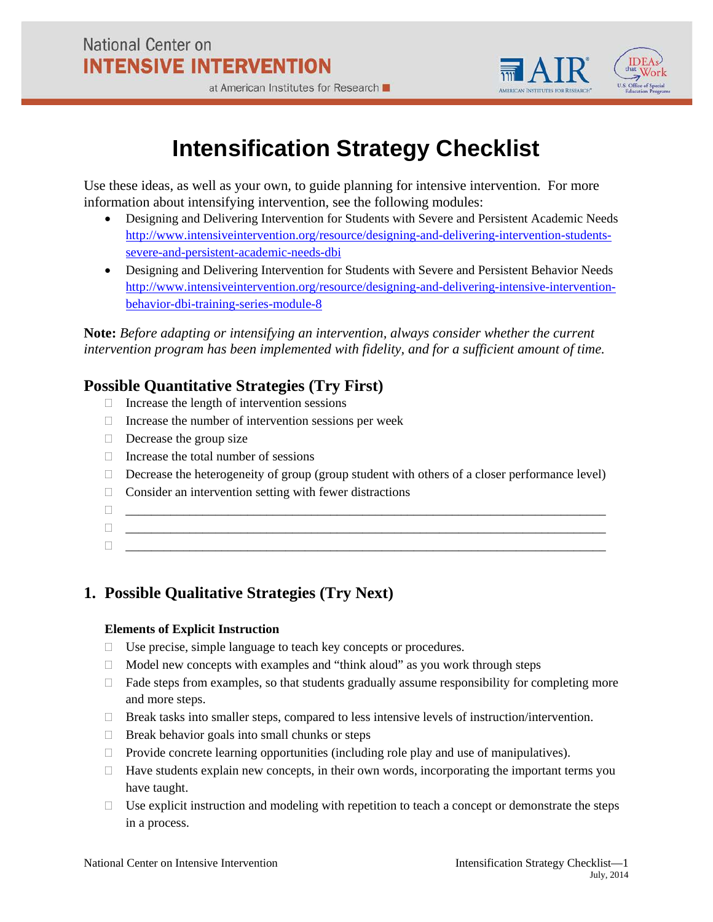

#### at American Institutes for Research

# **Intensification Strategy Checklist**

Use these ideas, as well as your own, to guide planning for intensive intervention. For more information about intensifying intervention, see the following modules:

- Designing and Delivering Intervention for Students with Severe and Persistent Academic Needs [http://www.intensiveintervention.org/resource/designing-and-delivering-intervention-students](http://www.intensiveintervention.org/resource/designing-and-delivering-intervention-students-severe-and-persistent-academic-needs-dbi)[severe-and-persistent-academic-needs-dbi](http://www.intensiveintervention.org/resource/designing-and-delivering-intervention-students-severe-and-persistent-academic-needs-dbi)
- Designing and Delivering Intervention for Students with Severe and Persistent Behavior Needs [http://www.intensiveintervention.org/resource/designing-and-delivering-intensive-intervention](http://www.intensiveintervention.org/resource/designing-and-delivering-intensive-intervention-behavior-dbi-training-series-module-8)[behavior-dbi-training-series-module-8](http://www.intensiveintervention.org/resource/designing-and-delivering-intensive-intervention-behavior-dbi-training-series-module-8)

**Note:** *Before adapting or intensifying an intervention, always consider whether the current intervention program has been implemented with fidelity, and for a sufficient amount of time.*

# **Possible Quantitative Strategies (Try First)**

- $\Box$  Increase the length of intervention sessions
- $\Box$  Increase the number of intervention sessions per week
- $\Box$  Decrease the group size
- $\Box$  Increase the total number of sessions
- $\Box$  Decrease the heterogeneity of group (group student with others of a closer performance level)
- $\Box$  Consider an intervention setting with fewer distractions
- \_\_\_\_\_\_\_\_\_\_\_\_\_\_\_\_\_\_\_\_\_\_\_\_\_\_\_\_\_\_\_\_\_\_\_\_\_\_\_\_\_\_\_\_\_\_\_\_\_\_\_\_\_\_\_\_\_\_\_\_\_\_\_\_\_\_\_\_\_\_\_\_\_\_\_
- \_\_\_\_\_\_\_\_\_\_\_\_\_\_\_\_\_\_\_\_\_\_\_\_\_\_\_\_\_\_\_\_\_\_\_\_\_\_\_\_\_\_\_\_\_\_\_\_\_\_\_\_\_\_\_\_\_\_\_\_\_\_\_\_\_\_\_\_\_\_\_\_\_\_\_
- \_\_\_\_\_\_\_\_\_\_\_\_\_\_\_\_\_\_\_\_\_\_\_\_\_\_\_\_\_\_\_\_\_\_\_\_\_\_\_\_\_\_\_\_\_\_\_\_\_\_\_\_\_\_\_\_\_\_\_\_\_\_\_\_\_\_\_\_\_\_\_\_\_\_\_

# **1. Possible Qualitative Strategies (Try Next)**

# **Elements of Explicit Instruction**

- □ Use precise, simple language to teach key concepts or procedures.
- $\Box$  Model new concepts with examples and "think aloud" as you work through steps
- $\Box$  Fade steps from examples, so that students gradually assume responsibility for completing more and more steps.
- Break tasks into smaller steps, compared to less intensive levels of instruction/intervention.
- $\Box$  Break behavior goals into small chunks or steps
- $\Box$  Provide concrete learning opportunities (including role play and use of manipulatives).
- $\Box$  Have students explain new concepts, in their own words, incorporating the important terms you have taught.
- $\Box$  Use explicit instruction and modeling with repetition to teach a concept or demonstrate the steps in a process.